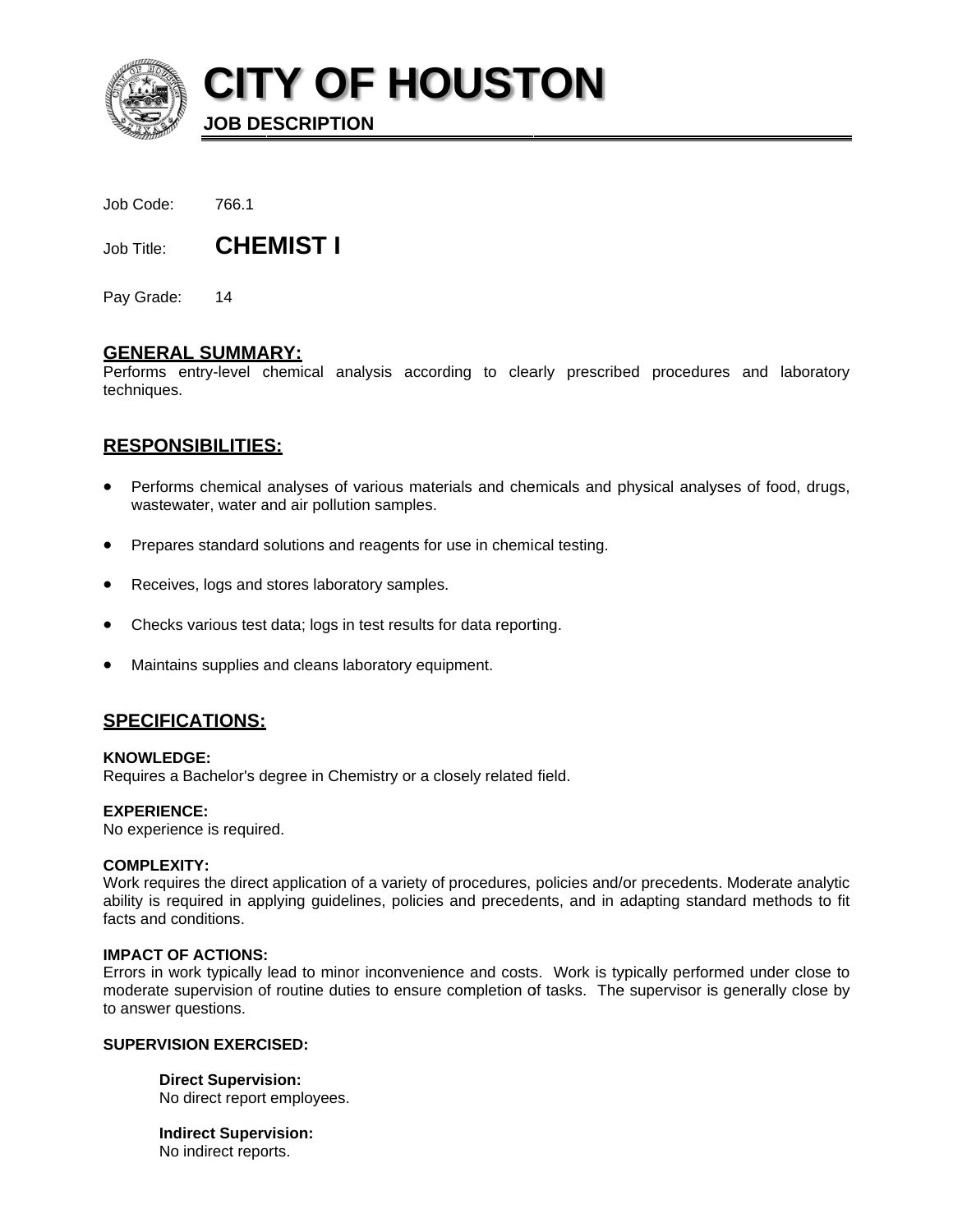

**CITY OF HOUSTON** 

**JOB DESCRIPTION** 

| Job Code: | 766.1 |
|-----------|-------|
|           |       |

**CHEMIST I** Job Title:

Pay Grade:  $14$ 

# **GENERAL SUMMARY:**

Performs entry-level chemical analysis according to clearly prescribed procedures and laboratory techniques.

# **RESPONSIBILITIES:**

- Performs chemical analyses of various materials and chemicals and physical analyses of food, drugs, wastewater, water and air pollution samples.
- Prepares standard solutions and reagents for use in chemical testing.
- Receives, logs and stores laboratory samples.
- Checks various test data; logs in test results for data reporting.
- Maintains supplies and cleans laboratory equipment.

## **SPECIFICATIONS:**

### **KNOWLEDGE:**

Requires a Bachelor's degree in Chemistry or a closely related field.

### **EXPERIENCE:**

No experience is required.

### **COMPLEXITY:**

Work requires the direct application of a variety of procedures, policies and/or precedents. Moderate analytic ability is required in applying guidelines, policies and precedents, and in adapting standard methods to fit facts and conditions.

### **IMPACT OF ACTIONS:**

Errors in work typically lead to minor inconvenience and costs. Work is typically performed under close to moderate supervision of routine duties to ensure completion of tasks. The supervisor is generally close by to answer questions.

## **SUPERVISION EXERCISED:**

**Direct Supervision:** No direct report employees.

**Indirect Supervision:** No indirect reports.